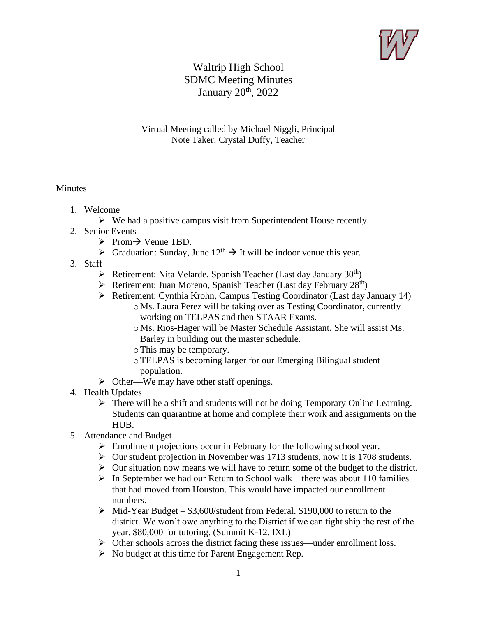

## Waltrip High School SDMC Meeting Minutes January 20<sup>th</sup>, 2022

## Virtual Meeting called by Michael Niggli, Principal Note Taker: Crystal Duffy, Teacher

## **Minutes**

- 1. Welcome
	- $\triangleright$  We had a positive campus visit from Superintendent House recently.
- 2. Senior Events
	- ➢ Prom→ Venue TBD.
	- $\triangleright$  Graduation: Sunday, June  $12<sup>th</sup> \rightarrow$  It will be indoor venue this year.
- 3. Staff
	- $\triangleright$  Retirement: Nita Velarde, Spanish Teacher (Last day January 30<sup>th</sup>)
	- $\triangleright$  Retirement: Juan Moreno, Spanish Teacher (Last day February 28<sup>th</sup>)
	- ➢ Retirement: Cynthia Krohn, Campus Testing Coordinator (Last day January 14)
		- o Ms. Laura Perez will be taking over as Testing Coordinator, currently working on TELPAS and then STAAR Exams.
		- o Ms. Rios-Hager will be Master Schedule Assistant. She will assist Ms. Barley in building out the master schedule.
		- oThis may be temporary.
		- oTELPAS is becoming larger for our Emerging Bilingual student population.
	- $\triangleright$  Other—We may have other staff openings.
- 4. Health Updates
	- ➢ There will be a shift and students will not be doing Temporary Online Learning. Students can quarantine at home and complete their work and assignments on the HUB.
- 5. Attendance and Budget
	- ➢ Enrollment projections occur in February for the following school year.
	- ➢ Our student projection in November was 1713 students, now it is 1708 students.
	- $\triangleright$  Our situation now means we will have to return some of the budget to the district.
	- $\triangleright$  In September we had our Return to School walk—there was about 110 families that had moved from Houston. This would have impacted our enrollment numbers.
	- $\triangleright$  Mid-Year Budget \$3,600/student from Federal. \$190,000 to return to the district. We won't owe anything to the District if we can tight ship the rest of the year. \$80,000 for tutoring. (Summit K-12, IXL)
	- $\triangleright$  Other schools across the district facing these issues—under enrollment loss.
	- $\triangleright$  No budget at this time for Parent Engagement Rep.